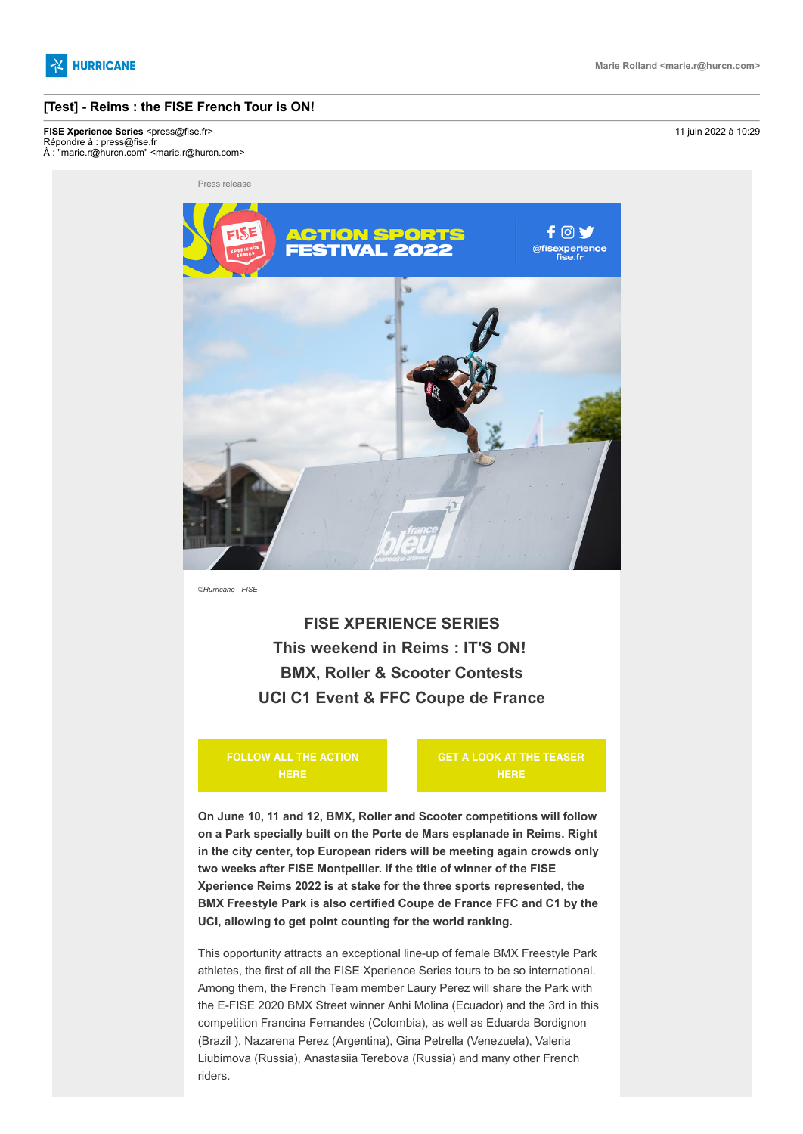

# **[Test] - Reims : the FISE French Tour is ON!**

**FISE Xperience Series <press@fise.fr>** 11 juin 2022 à 10:29

Répondre à : press@fise.fr À : "marie.r@hurcn.com" <marie.r@hurcn.com>

Press release



*©Hurricane - FISE*

**FISE XPERIENCE SERIES This weekend in Reims : IT'S ON! BMX, Roller & Scooter Contests UCI C1 Event & FFC Coupe de France**

**[FOLLOW ALL THE ACTION](https://hurricanepresse.cmail20.com/t/t-i-qhktrhd-l-j/) HERE**

**[GET A LOOK AT THE TEASER](https://hurricanepresse.cmail20.com/t/t-i-qhktrhd-l-t/) HERE**

**On June 10, 11 and 12, BMX, Roller and Scooter competitions will follow on a Park specially built on the Porte de Mars esplanade in Reims. Right in the city center, top European riders will be meeting again crowds only two weeks after FISE Montpellier. If the title of winner of the FISE Xperience Reims 2022 is at stake for the three sports represented, the BMX Freestyle Park is also certified Coupe de France FFC and C1 by the UCI, allowing to get point counting for the world ranking.**

This opportunity attracts an exceptional line-up of female BMX Freestyle Park athletes, the first of all the FISE Xperience Series tours to be so international. Among them, the French Team member Laury Perez will share the Park with the E-FISE 2020 BMX Street winner Anhi Molina (Ecuador) and the 3rd in this competition Francina Fernandes (Colombia), as well as Eduarda Bordignon (Brazil ), Nazarena Perez (Argentina), Gina Petrella (Venezuela), Valeria Liubimova (Russia), Anastasiia Terebova (Russia) and many other French riders.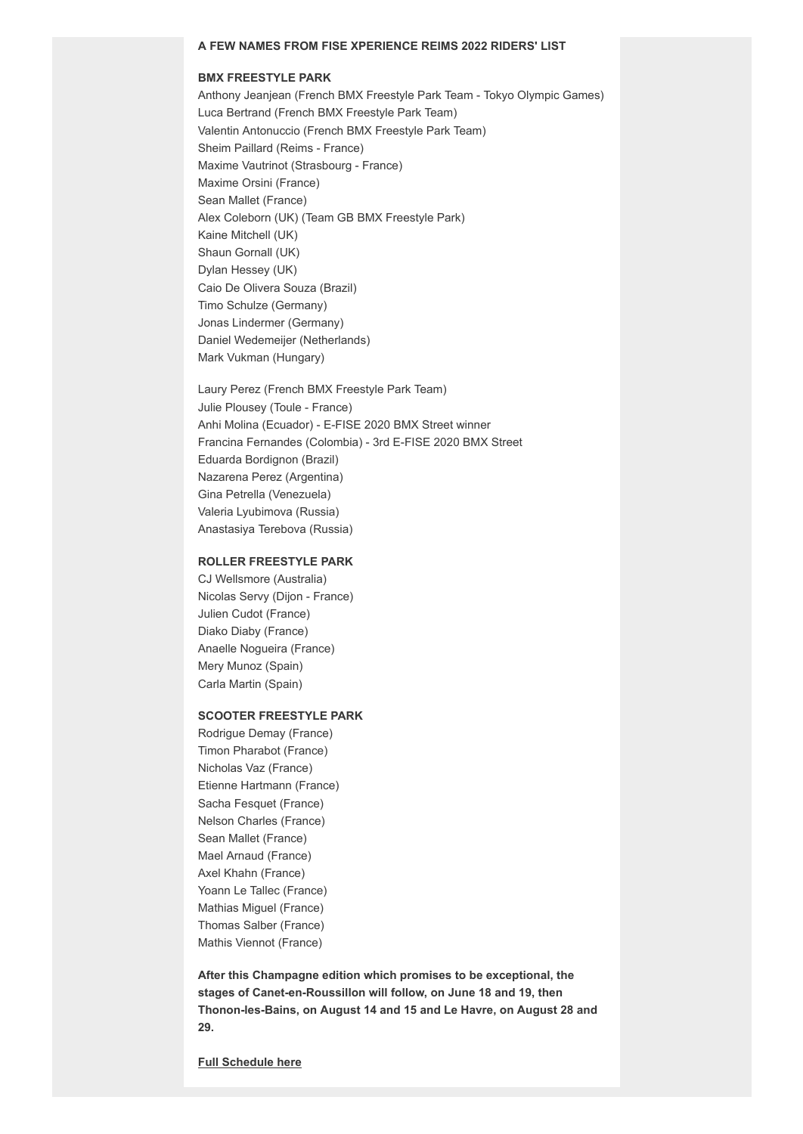### **BMX FREESTYLE PARK**

Anthony Jeanjean (French BMX Freestyle Park Team - Tokyo Olympic Games) Luca Bertrand (French BMX Freestyle Park Team) Valentin Antonuccio (French BMX Freestyle Park Team) Sheim Paillard (Reims - France) Maxime Vautrinot (Strasbourg - France) Maxime Orsini (France) Sean Mallet (France) Alex Coleborn (UK) (Team GB BMX Freestyle Park) Kaine Mitchell (UK) Shaun Gornall (UK) Dylan Hessey (UK) Caio De Olivera Souza (Brazil) Timo Schulze (Germany) Jonas Lindermer (Germany) Daniel Wedemeijer (Netherlands) Mark Vukman (Hungary)

Laury Perez (French BMX Freestyle Park Team) Julie Plousey (Toule - France) Anhi Molina (Ecuador) - E-FISE 2020 BMX Street winner Francina Fernandes (Colombia) - 3rd E-FISE 2020 BMX Street Eduarda Bordignon (Brazil) Nazarena Perez (Argentina) Gina Petrella (Venezuela) Valeria Lyubimova (Russia) Anastasiya Terebova (Russia)

# **ROLLER FREESTYLE PARK**

CJ Wellsmore (Australia) Nicolas Servy (Dijon - France) Julien Cudot (France) Diako Diaby (France) Anaelle Nogueira (France) Mery Munoz (Spain) Carla Martin (Spain)

#### **SCOOTER FREESTYLE PARK**

Rodrigue Demay (France) Timon Pharabot (France) Nicholas Vaz (France) Etienne Hartmann (France) Sacha Fesquet (France) Nelson Charles (France) Sean Mallet (France) Mael Arnaud (France) Axel Khahn (France) Yoann Le Tallec (France) Mathias Miguel (France) Thomas Salber (France) Mathis Viennot (France)

**After this Champagne edition which promises to be exceptional, the stages of Canet-en-Roussillon will follow, on June 18 and 19, then Thonon-les-Bains, on August 14 and 15 and Le Havre, on August 28 and 29.**

**[Full Schedule here](https://hurricanepresse.cmail20.com/t/t-i-qhktrhd-l-i/)**